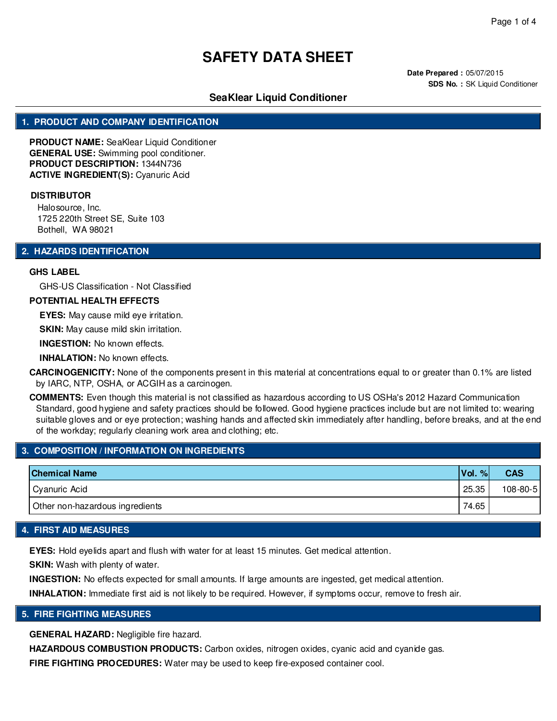**Date Prepared :** 05/07/2015 **SDS No. : SK Liquid Conditioner** 

## **SeaKlear Liquid Conditioner**

## **1. PRODUCT AND COMPANY IDENTIFICATION**

**PRODUCT NAME:** SeaKlear Liquid Conditioner **GENERAL USE:** Swimming pool conditioner. **PRODUCT DESCRIPTION:** 1344N736 **ACTIVE INGREDIENT(S):** Cyanuric Acid

#### **DISTRIBUTOR**

Halosource, Inc. 1725 220th Street SE, Suite 103 Bothell, WA 98021

## **2. HAZARDS IDENTIFICATION**

#### **GHS LABEL**

GHS-US Classification - Not Classified

## **POTENTIAL HEALTH EFFECTS**

**EYES:** May cause mild eye irritation.

**SKIN:** May cause mild skin irritation.

**INGESTION:** No known effects.

**INHALATION:** No known effects.

**CARCINOGENICITY:** None of the components present in this material at concentrations equal to or greater than 0.1% are listed by IARC, NTP, OSHA, or ACGIH as a carcinogen.

**COMMENTS:** Even though this material is not classified as hazardous according to US OSHa's 2012 Hazard Communication Standard, good hygiene and safety practices should be followed. Good hygiene practices include but are not limited to: wearing suitable gloves and or eye protection; washing hands and affected skin immediately after handling, before breaks, and at the end of the workday; regularly cleaning work area and clothing; etc.

## **3. COMPOSITION / INFORMATION ON INGREDIENTS**

| <b>Chemical Name</b>            | Vol.<br>% | <b>CAS</b>     |
|---------------------------------|-----------|----------------|
| Cyanuric Acid                   | 25.35     | $108 - 80 - 5$ |
| Other non-hazardous ingredients | 74.65     |                |

#### **4. FIRST AID MEASURES**

**EYES:** Hold eyelids apart and flush with water for at least 15 minutes. Get medical attention.

**SKIN:** Wash with plenty of water.

**INGESTION:** No effects expected for small amounts. If large amounts are ingested, get medical attention.

**INHALATION:** Immediate first aid is not likely to be required. However, if symptoms occur, remove to fresh air.

#### **5. FIRE FIGHTING MEASURES**

**GENERAL HAZARD:** Negligible fire hazard.

**HAZARDOUS COMBUSTION PRODUCTS:** Carbon oxides, nitrogen oxides, cyanic acid and cyanide gas.

**FIRE FIGHTING PROCEDURES:** Water may be used to keep fire-exposed container cool.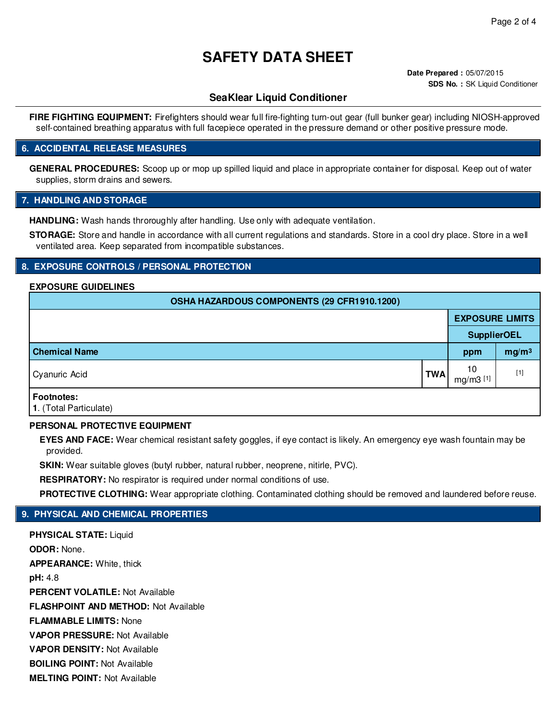**Date Prepared :** 05/07/2015 **SDS No. : SK Liquid Conditioner** 

## **SeaKlear Liquid Conditioner**

**FIRE FIGHTING EQUIPMENT:** Firefighters should wear full fire-fighting turn-out gear (full bunker gear) including NIOSH-approved self-contained breathing apparatus with full facepiece operated in the pressure demand or other positive pressure mode.

## **6. ACCIDENTAL RELEASE MEASURES**

**GENERAL PROCEDURES:** Scoop up or mop up spilled liquid and place in appropriate container for disposal. Keep out of water supplies, storm drains and sewers.

## **7. HANDLING AND STORAGE**

**HANDLING:** Wash hands throroughly after handling. Use only with adequate ventilation.

**STORAGE:** Store and handle in accordance with all current regulations and standards. Store in a cool dry place. Store in a well ventilated area. Keep separated from incompatible substances.

## **8. EXPOSURE CONTROLS / PERSONAL PROTECTION**

#### **EXPOSURE GUIDELINES**

| OSHA HAZARDOUS COMPONENTS (29 CFR1910.1200) |            |                                |                   |  |  |
|---------------------------------------------|------------|--------------------------------|-------------------|--|--|
|                                             |            | <b>EXPOSURE LIMITS</b>         |                   |  |  |
|                                             |            | <b>SupplierOEL</b>             |                   |  |  |
| <b>Chemical Name</b>                        |            | ppm                            | mg/m <sup>3</sup> |  |  |
| Cyanuric Acid                               | <b>TWA</b> | 10<br>$mg/m3$ <sup>[1]</sup> i | $[1]$             |  |  |
| <b>Footnotes:</b><br>1. (Total Particulate) |            |                                |                   |  |  |

## **PERSONAL PROTECTIVE EQUIPMENT**

**EYES AND FACE:** Wear chemical resistant safety goggles, if eye contact is likely. An emergency eye wash fountain may be provided.

**SKIN:** Wear suitable gloves (butyl rubber, natural rubber, neoprene, nitirle, PVC).

**RESPIRATORY:** No respirator is required under normal conditions of use.

**PROTECTIVE CLOTHING:** Wear appropriate clothing. Contaminated clothing should be removed and laundered before reuse.

## **9. PHYSICAL AND CHEMICAL PROPERTIES**

**PHYSICAL STATE:** Liquid **ODOR:** None. **APPEARANCE:** White, thick **pH:** 4.8 **PERCENT VOLATILE:** Not Available **FLASHPOINT AND METHOD:** Not Available **FLAMMABLE LIMITS:** None **VAPOR PRESSURE:** Not Available **VAPOR DENSITY:** Not Available **BOILING POINT:** Not Available **MELTING POINT:** Not Available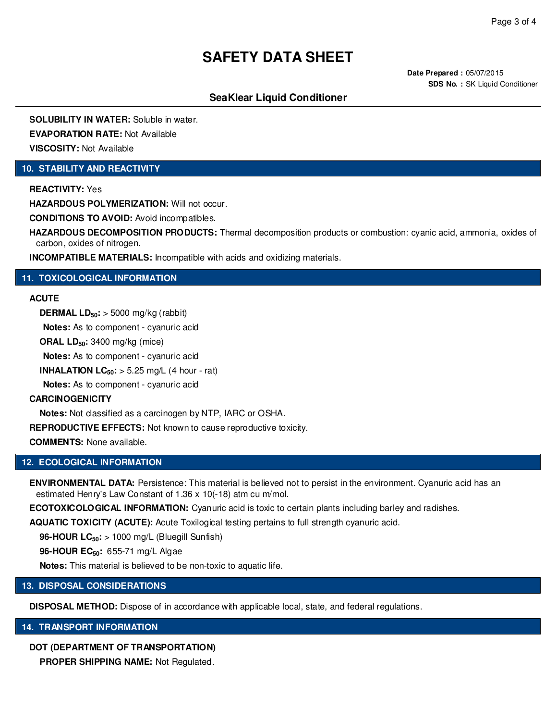**Date Prepared :** 05/07/2015 **SDS No. : SK Liquid Conditioner** 

# **SeaKlear Liquid Conditioner**

**SOLUBILITY IN WATER:** Soluble in water. **EVAPORATION RATE:** Not Available

**VISCOSITY:** Not Available

## **10. STABILITY AND REACTIVITY**

**REACTIVITY:** Yes

**HAZARDOUS POLYMERIZATION:** Will not occur.

**CONDITIONS TO AVOID:** Avoid incompatibles.

**HAZARDOUS DECOMPOSITION PRODUCTS:** Thermal decomposition products or combustion: cyanic acid, ammonia, oxides of carbon, oxides of nitrogen.

**INCOMPATIBLE MATERIALS:** Incompatible with acids and oxidizing materials.

## **11. TOXICOLOGICAL INFORMATION**

## **ACUTE**

**DERMAL LD50:** > 5000 mg/kg (rabbit)

**Notes:** As to component - cyanuric acid

**ORAL LD50:** 3400 mg/kg (mice)

**Notes:** As to component - cyanuric acid

**INHALATION LC** $_{50}$ **:**  $> 5.25$  **mg/L (4 hour - rat)** 

**Notes:** As to component - cyanuric acid

#### **CARCINOGENICITY**

**Notes:** Not classified as a carcinogen by NTP, IARC or OSHA.

**REPRODUCTIVE EFFECTS:** Not known to cause reproductive toxicity.

**COMMENTS:** None available.

## **12. ECOLOGICAL INFORMATION**

**ENVIRONMENTAL DATA:** Persistence: This material is believed not to persist in the environment. Cyanuric acid has an estimated Henry's Law Constant of 1.36 x 10(-18) atm cu m/mol.

**ECOTOXICOLOGICAL INFORMATION:** Cyanuric acid is toxic to certain plants including barley and radishes.

**AQUATIC TOXICITY (ACUTE):** Acute Toxilogical testing pertains to full strength cyanuric acid.

**96-HOUR LC50:** > 1000 mg/L (Bluegill Sunfish)

**96-HOUR EC50:** 655-71 mg/L Algae

**Notes:** This material is believed to be non-toxic to aquatic life.

## **13. DISPOSAL CONSIDERATIONS**

**DISPOSAL METHOD:** Dispose of in accordance with applicable local, state, and federal regulations.

## **14. TRANSPORT INFORMATION**

## **DOT (DEPARTMENT OF TRANSPORTATION)**

**PROPER SHIPPING NAME:** Not Regulated.